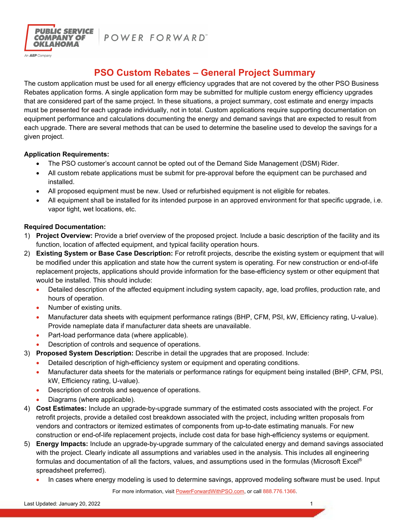

POWER FORWARD"

# **PSO Custom Rebates – General Project Summary**

The custom application must be used for all energy efficiency upgrades that are not covered by the other PSO Business Rebates application forms. A single application form may be submitted for multiple custom energy efficiency upgrades that are considered part of the same project. In these situations, a project summary, cost estimate and energy impacts must be presented for each upgrade individually, not in total. Custom applications require supporting documentation on equipment performance and calculations documenting the energy and demand savings that are expected to result from each upgrade. There are several methods that can be used to determine the baseline used to develop the savings for a given project.

## **Application Requirements:**

- The PSO customer's account cannot be opted out of the Demand Side Management (DSM) Rider.
- All custom rebate applications must be submit for pre-approval before the equipment can be purchased and installed.
- All proposed equipment must be new. Used or refurbished equipment is not eligible for rebates.
- All equipment shall be installed for its intended purpose in an approved environment for that specific upgrade, i.e. vapor tight, wet locations, etc.

# **Required Documentation:**

- 1) **Project Overview:** Provide a brief overview of the proposed project. Include a basic description of the facility and its function, location of affected equipment, and typical facility operation hours.
- 2) **Existing System or Base Case Description:** For retrofit projects, describe the existing system or equipment that will be modified under this application and state how the current system is operating. For new construction or end-of-life replacement projects, applications should provide information for the base-efficiency system or other equipment that would be installed. This should include:
	- Detailed description of the affected equipment including system capacity, age, load profiles, production rate, and hours of operation.
	- Number of existing units.
	- Manufacturer data sheets with equipment performance ratings (BHP, CFM, PSI, kW, Efficiency rating, U-value). Provide nameplate data if manufacturer data sheets are unavailable.
	- Part-load performance data (where applicable).
	- Description of controls and sequence of operations.
- 3) **Proposed System Description:** Describe in detail the upgrades that are proposed. Include:
	- Detailed description of high-efficiency system or equipment and operating conditions.
	- Manufacturer data sheets for the materials or performance ratings for equipment being installed (BHP, CFM, PSI, kW, Efficiency rating, U-value).
	- Description of controls and sequence of operations.
	- Diagrams (where applicable).
- 4) **Cost Estimates:** Include an upgrade-by-upgrade summary of the estimated costs associated with the project. For retrofit projects, provide a detailed cost breakdown associated with the project, including written proposals from vendors and contractors or itemized estimates of components from up-to-date estimating manuals. For new construction or end-of-life replacement projects, include cost data for base high-efficiency systems or equipment.
- 5) **Energy Impacts:** Include an upgrade-by-upgrade summary of the calculated energy and demand savings associated with the project. Clearly indicate all assumptions and variables used in the analysis. This includes all engineering formulas and documentation of all the factors, values, and assumptions used in the formulas (Microsoft Excel® spreadsheet preferred).
	- In cases where energy modeling is used to determine savings, approved modeling software must be used. Input

For more information, visit PowerForwardWithPSO.com, or call 888.776.1366.